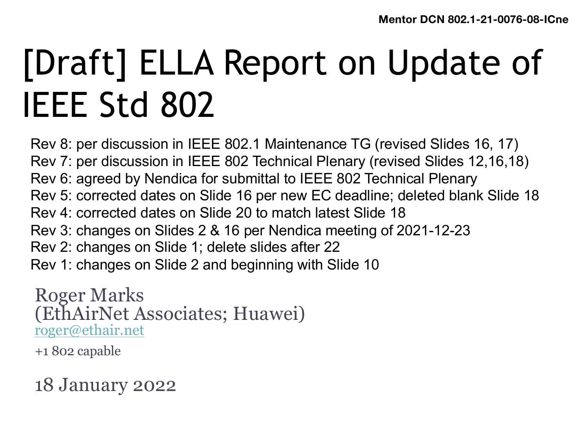# [Draft] ELLA Report on Update of IEEE Std 802

Rev 8: per discussion in IEEE 802.1 Maintenance TG (revised Slides 16, 17) Rev 7: per discussion in IEEE 802 Technical Plenary (revised Slides 12,16,18) Rev 6: agreed by Nendica for submittal to IEEE 802 Technical Plenary Rev 5: corrected dates on Slide 16 per new EC deadline; deleted blank Slide 18 Rev 4: corrected dates on Slide 20 to match latest Slide 18 Rev 3: changes on Slides 2 & 16 per Nendica meeting of 2021-12-23 Rev 2: changes on Slide 1; delete slides after 22 Rev 1: changes on Slide 2 and beginning with Slide 10

Roger Marks (EthAirNet Associates; Huawei) [roger@ethair.net](mailto:roger@ethair.net)

+1 802 capable

18 January 2022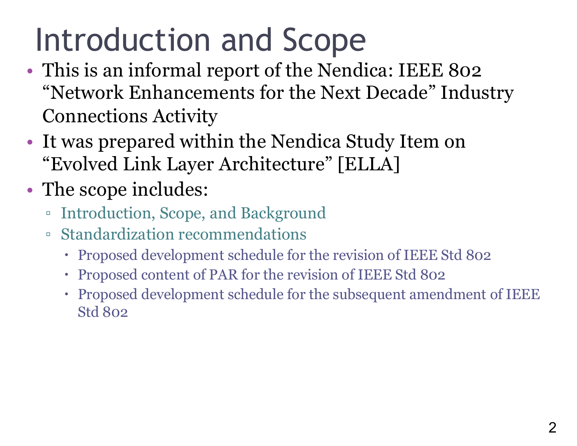## Introduction and Scope

- This is an informal report of the Nendica: IEEE 802 "Network Enhancements for the Next Decade" Industry Connections Activity
- It was prepared within the Nendica Study Item on "Evolved Link Layer Architecture" [ELLA]
- The scope includes:
	- Introduction, Scope, and Background
	- Standardization recommendations
		- Proposed development schedule for the revision of IEEE Std 802
		- Proposed content of PAR for the revision of IEEE Std 802
		- Proposed development schedule for the subsequent amendment of IEEE Std 802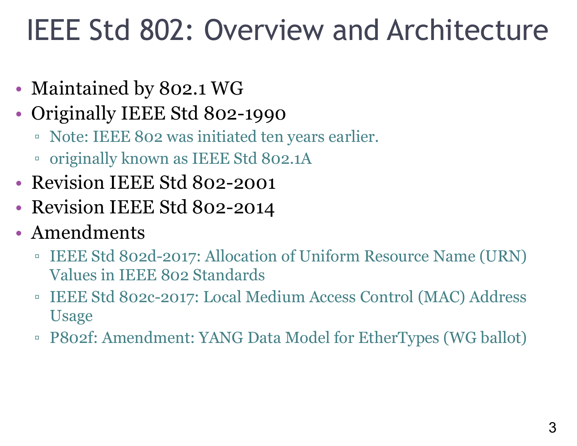#### IEEE Std 802: Overview and Architecture

- Maintained by 802.1 WG
- Originally IEEE Std 802-1990
	- Note: IEEE 802 was initiated ten years earlier.
	- originally known as IEEE Std 802.1A
- Revision IEEE Std 802-2001
- Revision IEEE Std 802-2014
- Amendments
	- IEEE Std 802d-2017: Allocation of Uniform Resource Name (URN) Values in IEEE 802 Standards
	- IEEE Std 802c-2017: Local Medium Access Control (MAC) Address Usage
	- P802f: Amendment: YANG Data Model for EtherTypes (WG ballot)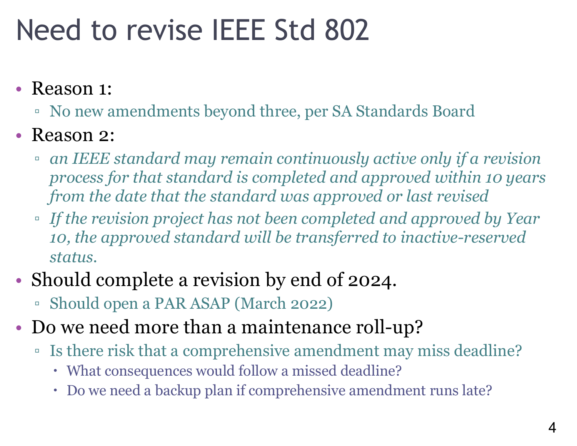#### Need to revise IEEE Std 802

#### • Reason 1:

- No new amendments beyond three, per SA Standards Board
- Reason 2:
	- *an IEEE standard may remain continuously active only if a revision process for that standard is completed and approved within 10 years from the date that the standard was approved or last revised*
	- *If the revision project has not been completed and approved by Year 10, the approved standard will be transferred to inactive-reserved status.*
- Should complete a revision by end of 2024.
	- Should open a PAR ASAP (March 2022)
- Do we need more than a maintenance roll-up?
	- Is there risk that a comprehensive amendment may miss deadline?
		- What consequences would follow a missed deadline?
		- Do we need a backup plan if comprehensive amendment runs late?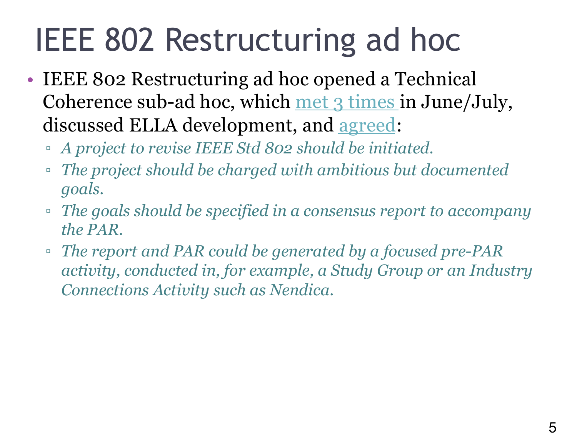## IEEE 802 Restructuring ad hoc

- IEEE 802 Restructuring ad hoc opened a Technical Coherence sub-ad hoc, which [met 3 times](https://mentor.ieee.org/802-ec/documents?is_dcn=coherence) in June/July, discussed ELLA development, and [agreed:](https://mentor.ieee.org/802-ec/dcn/21/ec-21-0142-01-00EC-technical-coherence-sub-ad-hoc-22jun2021-notes.docx)
	- *A project to revise IEEE Std 802 should be initiated.*
	- *The project should be charged with ambitious but documented goals.*
	- *The goals should be specified in a consensus report to accompany the PAR.*
	- *The report and PAR could be generated by a focused pre-PAR activity, conducted in, for example, a Study Group or an Industry Connections Activity such as Nendica.*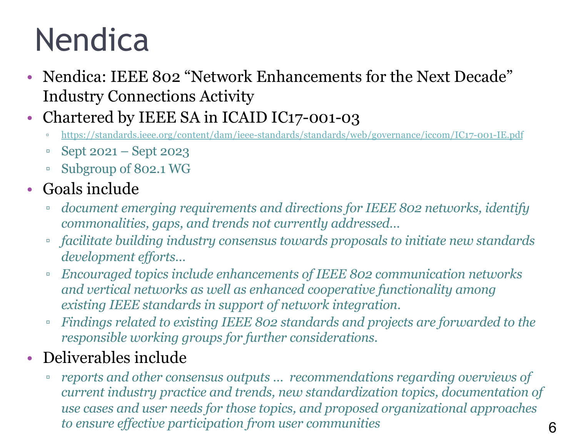## Nendica

- Nendica: IEEE 802 "Network Enhancements for the Next Decade" Industry Connections Activity
- Chartered by IEEE SA in ICAID IC17-001-03
	- <https://standards.ieee.org/content/dam/ieee-standards/standards/web/governance/iccom/IC17-001-IE.pdf>
	- Sept 2021 Sept 2023
	- Subgroup of 802.1 WG
- Goals include
	- *document emerging requirements and directions for IEEE 802 networks, identify commonalities, gaps, and trends not currently addressed…*
	- *facilitate building industry consensus towards proposals to initiate new standards development efforts…*
	- *Encouraged topics include enhancements of IEEE 802 communication networks and vertical networks as well as enhanced cooperative functionality among existing IEEE standards in support of network integration.*
	- *Findings related to existing IEEE 802 standards and projects are forwarded to the responsible working groups for further considerations.*
- Deliverables include
	- *reports and other consensus outputs … recommendations regarding overviews of current industry practice and trends, new standardization topics, documentation of use cases and user needs for those topics, and proposed organizational approaches to ensure effective participation from user communities*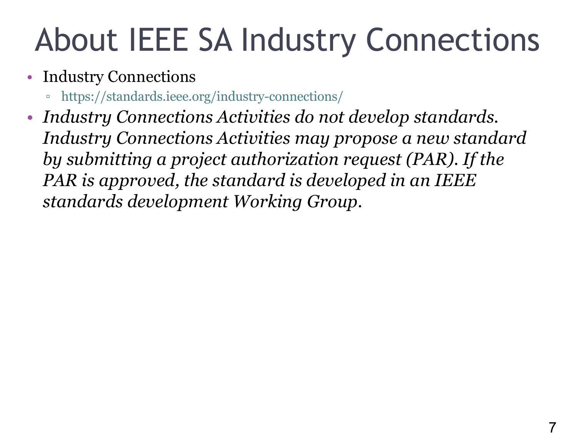## About IEEE SA Industry Connections

- Industry Connections
	- https://standards.ieee.org/industry-connections/
- *Industry Connections Activities do not develop standards. Industry Connections Activities may propose a new standard by submitting a project authorization request (PAR). If the PAR is approved, the standard is developed in an IEEE standards development Working Group.*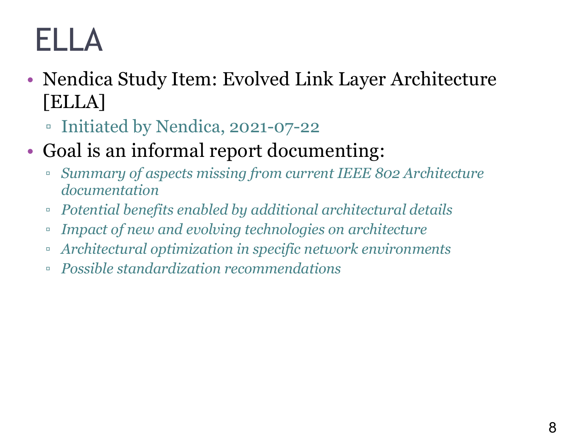## ELLA

- Nendica Study Item: Evolved Link Layer Architecture [ELLA]
	- Initiated by Nendica, 2021-07-22
- Goal is an informal report documenting:
	- *Summary of aspects missing from current IEEE 802 Architecture documentation*
	- *Potential benefits enabled by additional architectural details*
	- *Impact of new and evolving technologies on architecture*
	- *Architectural optimization in specific network environments*
	- *Possible standardization recommendations*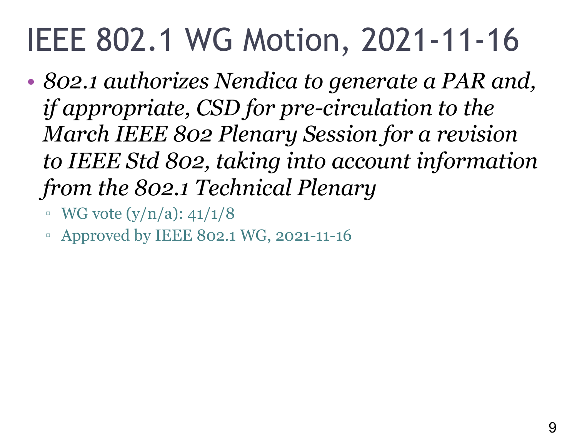## IEEE 802.1 WG Motion, 2021-11-16

- *802.1 authorizes Nendica to generate a PAR and, if appropriate, CSD for pre-circulation to the March IEEE 802 Plenary Session for a revision to IEEE Std 802, taking into account information from the 802.1 Technical Plenary*
	- $\bullet$  WG vote  $(y/n/a)$ : 41/1/8
	- Approved by IEEE 802.1 WG, 2021-11-16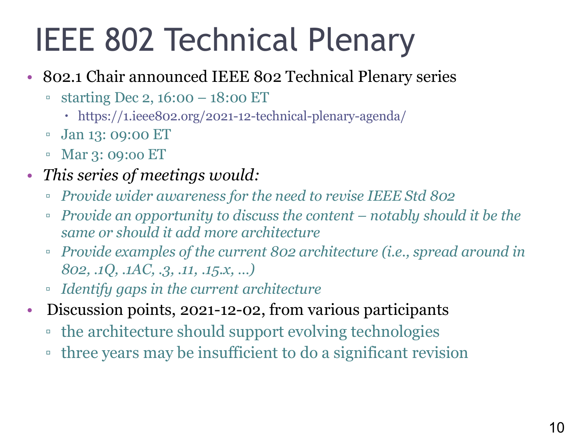## IEEE 802 Technical Plenary

- 802.1 Chair announced IEEE 802 Technical Plenary series
	- starting Dec 2, 16:00 18:00 ET
		- https://1.ieee802.org/2021-12-technical-plenary-agenda/
	- Jan 13: 09:00 ET
	- Mar 3: 09:oo ET
- *This series of meetings would:*
	- *Provide wider awareness for the need to revise IEEE Std 802*
	- *Provide an opportunity to discuss the content – notably should it be the same or should it add more architecture*
	- *Provide examples of the current 802 architecture (i.e., spread around in 802, .1Q, .1AC, .3, .11, .15.x, …)*
	- *Identify gaps in the current architecture*
- Discussion points, 2021-12-02, from various participants
	- the architecture should support evolving technologies
	- three years may be insufficient to do a significant revision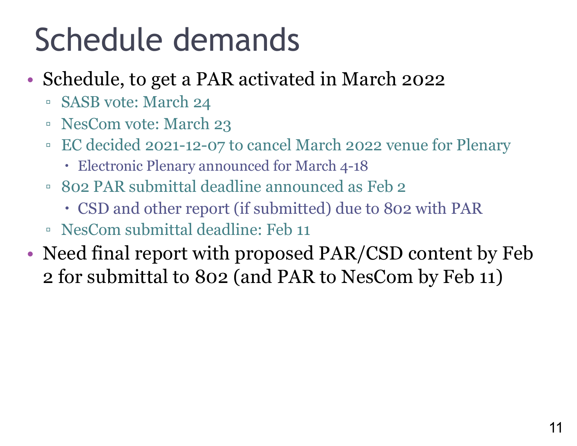## Schedule demands

- Schedule, to get a PAR activated in March 2022
	- SASB vote: March 24
	- NesCom vote: March 23
	- EC decided 2021-12-07 to cancel March 2022 venue for Plenary
		- Electronic Plenary announced for March 4-18
	- 802 PAR submittal deadline announced as Feb 2
		- CSD and other report (if submitted) due to 802 with PAR
	- NesCom submittal deadline: Feb 11
- Need final report with proposed PAR/CSD content by Feb 2 for submittal to 802 (and PAR to NesCom by Feb 11)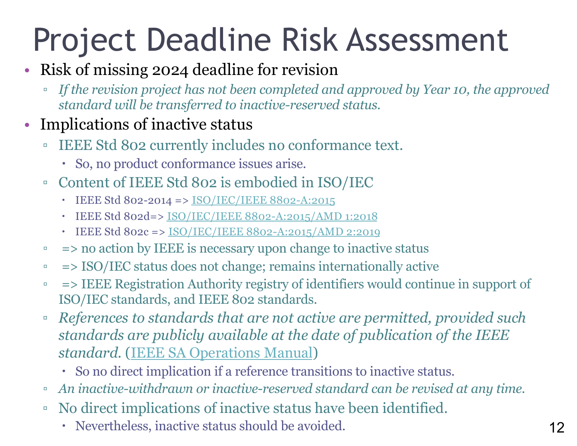# Project Deadline Risk Assessment

#### • Risk of missing 2024 deadline for revision

▫ *If the revision project has not been completed and approved by Year 10, the approved standard will be transferred to inactive-reserved status.*

#### • Implications of inactive status

- IEEE Std 802 currently includes no conformance text.
	- So, no product conformance issues arise.
- Content of IEEE Std 802 is embodied in ISO/IEC
	- $\cdot$  IEEE Std 802-2014 => [ISO/IEC/IEEE 8802-A:2015](https://www.iso.org/standard/68839.html)
	- IEEE Std 802d=> [ISO/IEC/IEEE 8802-A:2015/AMD 1:2018](https://www.iso.org/standard/74406.html)
	- IEEE Std 802c => [ISO/IEC/IEEE 8802-A:2015/AMD 2:2019](https://www.iso.org/standard/76470.html)
- => no action by IEEE is necessary upon change to inactive status
- => ISO/IEC status does not change; remains internationally active
- => IEEE Registration Authority registry of identifiers would continue in support of ISO/IEC standards, and IEEE 802 standards.
- *References to standards that are not active are permitted, provided such standards are publicly available at the date of publication of the IEEE standard.* [\(IEEE SA Operations Manual](https://standards.ieee.org/about/policies/opman/sect6.html))
	- So no direct implication if a reference transitions to inactive status.
- *An inactive-withdrawn or inactive-reserved standard can be revised at any time.*
- No direct implications of inactive status have been identified.
	- Nevertheless, inactive status should be avoided.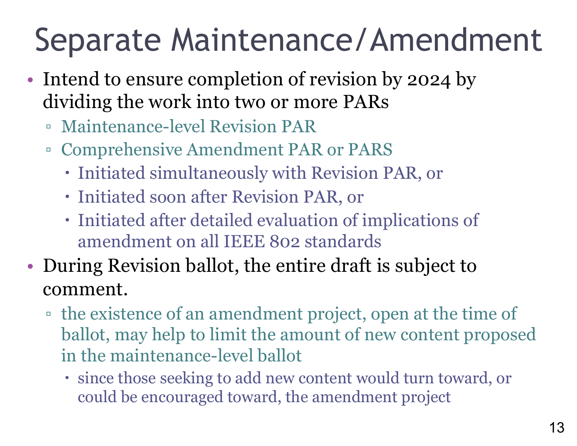## Separate Maintenance/Amendment

- Intend to ensure completion of revision by 2024 by dividing the work into two or more PARs
	- Maintenance-level Revision PAR
	- Comprehensive Amendment PAR or PARS
		- Initiated simultaneously with Revision PAR, or
		- Initiated soon after Revision PAR, or
		- Initiated after detailed evaluation of implications of amendment on all IEEE 802 standards
- During Revision ballot, the entire draft is subject to comment.
	- the existence of an amendment project, open at the time of ballot, may help to limit the amount of new content proposed in the maintenance-level ballot
		- since those seeking to add new content would turn toward, or could be encouraged toward, the amendment project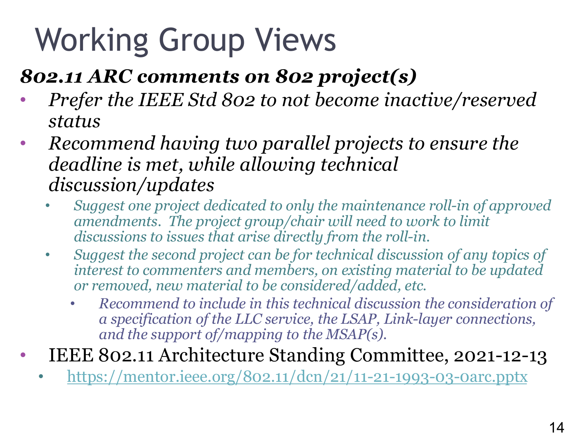# Working Group Views

#### *802.11 ARC comments on 802 project(s)*

- *Prefer the IEEE Std 802 to not become inactive/reserved status*
- *Recommend having two parallel projects to ensure the deadline is met, while allowing technical discussion/updates*
	- *Suggest one project dedicated to only the maintenance roll-in of approved amendments. The project group/chair will need to work to limit discussions to issues that arise directly from the roll-in.*
	- *Suggest the second project can be for technical discussion of any topics of interest to commenters and members, on existing material to be updated or removed, new material to be considered/added, etc.*
		- *Recommend to include in this technical discussion the consideration of a specification of the LLC service, the LSAP, Link-layer connections, and the support of/mapping to the MSAP(s).*
- IEEE 802.11 Architecture Standing Committee, 2021-12-13
	- <https://mentor.ieee.org/802.11/dcn/21/11-21-1993-03-0arc.pptx>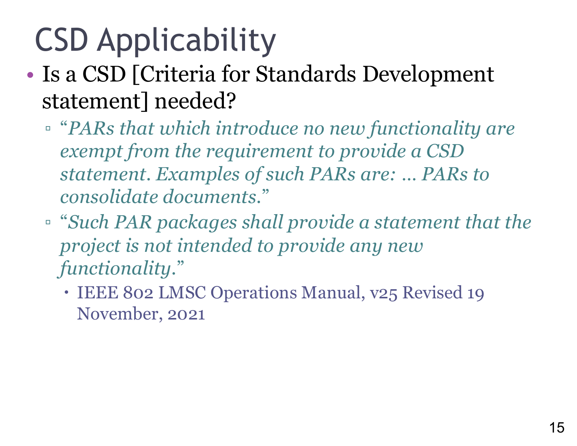# CSD Applicability

- Is a CSD [Criteria for Standards Development statement] needed?
	- "*PARs that which introduce no new functionality are exempt from the requirement to provide a CSD statement. Examples of such PARs are: … PARs to consolidate documents*."
	- "*Such PAR packages shall provide a statement that the project is not intended to provide any new functionality*."
		- IEEE 802 LMSC Operations Manual, v25 Revised 19 November, 2021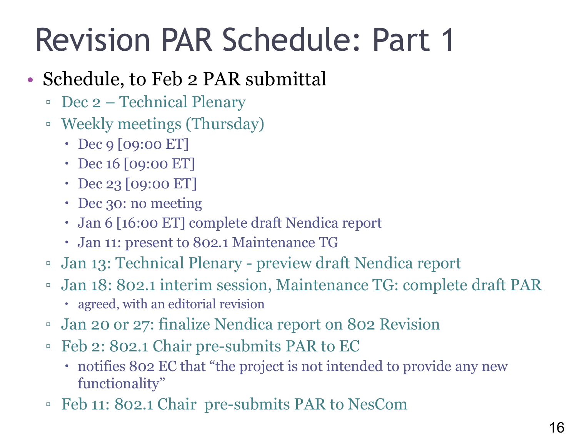## Revision PAR Schedule: Part 1

#### • Schedule, to Feb 2 PAR submittal

- Dec 2 Technical Plenary
- Weekly meetings (Thursday)
	- Dec 9 [09:00 ET]
	- Dec 16 [09:00 ET]
	- Dec 23 [09:00 ET]
	- Dec 30: no meeting
	- Jan 6 [16:00 ET] complete draft Nendica report
	- Jan 11: present to 802.1 Maintenance TG
- Jan 13: Technical Plenary preview draft Nendica report
- Jan 18: 802.1 interim session, Maintenance TG: complete draft PAR
	- agreed, with an editorial revision
- Jan 20 or 27: finalize Nendica report on 802 Revision
- Feb 2: 802.1 Chair pre-submits PAR to EC
	- notifies 802 EC that "the project is not intended to provide any new functionality"
- Feb 11: 802.1 Chair pre-submits PAR to NesCom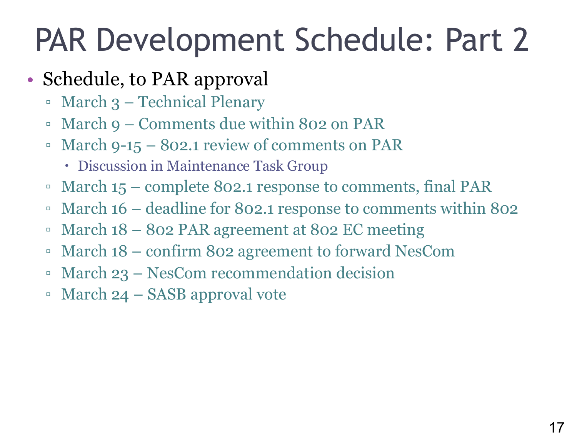## PAR Development Schedule: Part 2

#### • Schedule, to PAR approval

- March 3 Technical Plenary
- March 9 Comments due within 802 on PAR
- March 9-15 802.1 review of comments on PAR
	- Discussion in Maintenance Task Group
- March 15 complete 802.1 response to comments, final PAR
- March 16 deadline for 802.1 response to comments within 802
- March 18 802 PAR agreement at 802 EC meeting
- March 18 confirm 802 agreement to forward NesCom
- March 23 NesCom recommendation decision
- March 24 SASB approval vote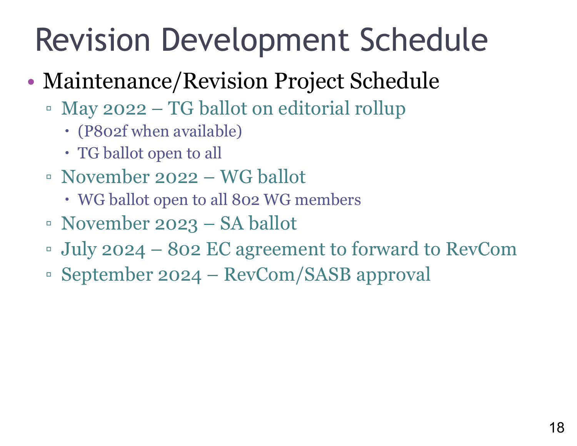## Revision Development Schedule

- Maintenance/Revision Project Schedule
	- May 2022 TG ballot on editorial rollup
		- (P802f when available)
		- TG ballot open to all
	- November 2022 WG ballot
		- WG ballot open to all 802 WG members
	- November 2023 SA ballot
	- July 2024 802 EC agreement to forward to RevCom
	- September 2024 RevCom/SASB approval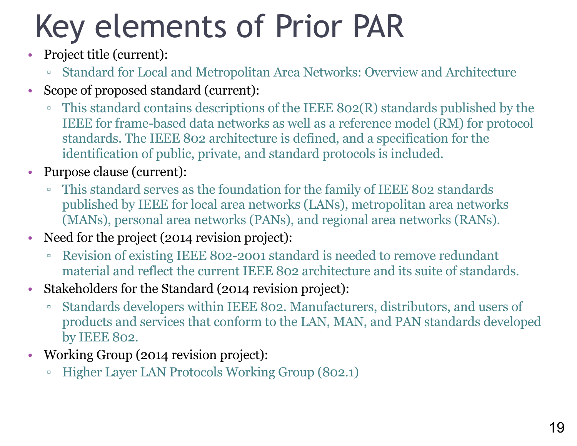# Key elements of Prior PAR

- Project title (current):
	- Standard for Local and Metropolitan Area Networks: Overview and Architecture
- Scope of proposed standard (current):
	- This standard contains descriptions of the IEEE 802(R) standards published by the IEEE for frame-based data networks as well as a reference model (RM) for protocol standards. The IEEE 802 architecture is defined, and a specification for the identification of public, private, and standard protocols is included.
- Purpose clause (current):
	- This standard serves as the foundation for the family of IEEE 802 standards published by IEEE for local area networks (LANs), metropolitan area networks (MANs), personal area networks (PANs), and regional area networks (RANs).
- Need for the project (2014 revision project):
	- Revision of existing IEEE 802-2001 standard is needed to remove redundant material and reflect the current IEEE 802 architecture and its suite of standards.
- Stakeholders for the Standard (2014 revision project):
	- Standards developers within IEEE 802. Manufacturers, distributors, and users of products and services that conform to the LAN, MAN, and PAN standards developed by IEEE 802.
- Working Group (2014 revision project):
	- Higher Layer LAN Protocols Working Group (802.1)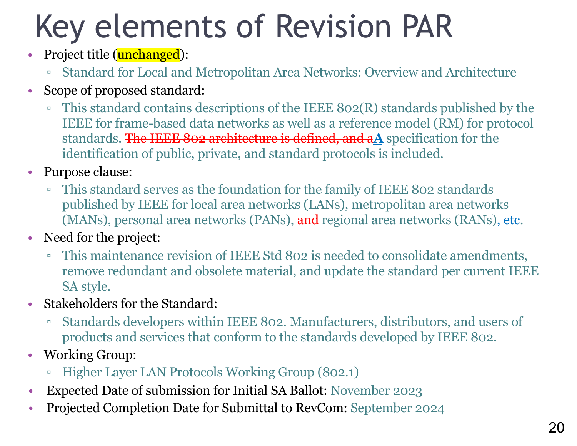# Key elements of Revision PAR

- Project title (**unchanged**):
	- Standard for Local and Metropolitan Area Networks: Overview and Architecture
- Scope of proposed standard:
	- This standard contains descriptions of the IEEE 802(R) standards published by the IEEE for frame-based data networks as well as a reference model (RM) for protocol standards. The IEEE 802 architecture is defined, and a**A** specification for the identification of public, private, and standard protocols is included.
- Purpose clause:
	- This standard serves as the foundation for the family of IEEE 802 standards published by IEEE for local area networks (LANs), metropolitan area networks (MANs), personal area networks (PANs), and regional area networks (RANs), etc.
- Need for the project:
	- This maintenance revision of IEEE Std 802 is needed to consolidate amendments, remove redundant and obsolete material, and update the standard per current IEEE SA style.
- Stakeholders for the Standard:
	- Standards developers within IEEE 802. Manufacturers, distributors, and users of products and services that conform to the standards developed by IEEE 802.
- Working Group:
	- Higher Layer LAN Protocols Working Group (802.1)
- Expected Date of submission for Initial SA Ballot: November 2023
- Projected Completion Date for Submittal to RevCom: September 2024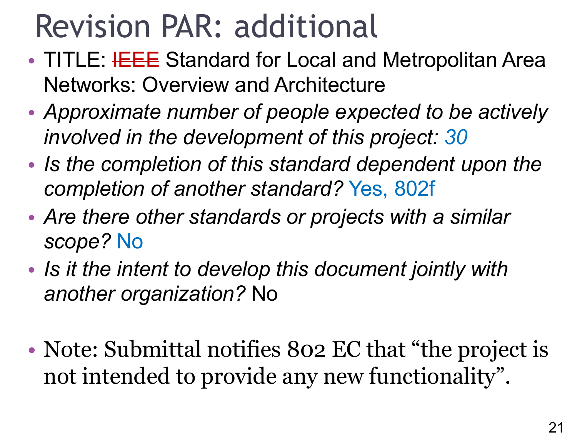### Revision PAR: additional

- TITLE: HEEE Standard for Local and Metropolitan Area Networks: Overview and Architecture
- *Approximate number of people expected to be actively involved in the development of this project: 30*
- *Is the completion of this standard dependent upon the completion of another standard?* Yes, 802f
- *Are there other standards or projects with a similar scope?* No
- *Is it the intent to develop this document jointly with another organization?* No
- Note: Submittal notifies 802 EC that "the project is not intended to provide any new functionality".